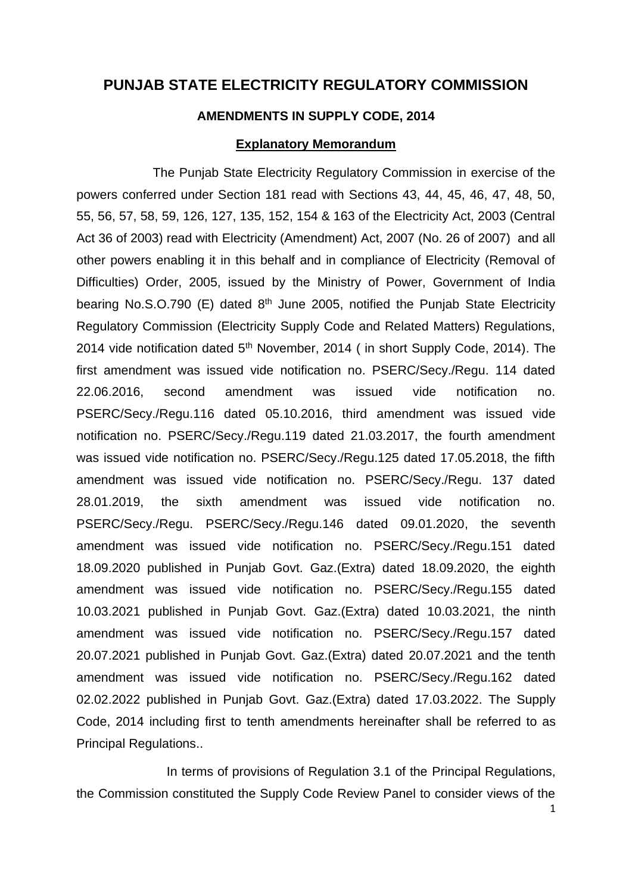## **PUNJAB STATE ELECTRICITY REGULATORY COMMISSION**

## **AMENDMENTS IN SUPPLY CODE, 2014**

## **Explanatory Memorandum**

The Punjab State Electricity Regulatory Commission in exercise of the powers conferred under Section 181 read with Sections 43, 44, 45, 46, 47, 48, 50, 55, 56, 57, 58, 59, 126, 127, 135, 152, 154 & 163 of the Electricity Act, 2003 (Central Act 36 of 2003) read with Electricity (Amendment) Act, 2007 (No. 26 of 2007) and all other powers enabling it in this behalf and in compliance of Electricity (Removal of Difficulties) Order, 2005, issued by the Ministry of Power, Government of India bearing No.S.O.790 (E) dated  $8<sup>th</sup>$  June 2005, notified the Punjab State Electricity Regulatory Commission (Electricity Supply Code and Related Matters) Regulations, 2014 vide notification dated 5<sup>th</sup> November, 2014 (in short Supply Code, 2014). The first amendment was issued vide notification no. PSERC/Secy./Regu. 114 dated 22.06.2016, second amendment was issued vide notification no. PSERC/Secy./Regu.116 dated 05.10.2016, third amendment was issued vide notification no. PSERC/Secy./Regu.119 dated 21.03.2017, the fourth amendment was issued vide notification no. PSERC/Secy./Regu.125 dated 17.05.2018, the fifth amendment was issued vide notification no. PSERC/Secy./Regu. 137 dated 28.01.2019, the sixth amendment was issued vide notification no. PSERC/Secy./Regu. PSERC/Secy./Regu.146 dated 09.01.2020, the seventh amendment was issued vide notification no. PSERC/Secy./Regu.151 dated 18.09.2020 published in Punjab Govt. Gaz.(Extra) dated 18.09.2020, the eighth amendment was issued vide notification no. PSERC/Secy./Regu.155 dated 10.03.2021 published in Punjab Govt. Gaz.(Extra) dated 10.03.2021, the ninth amendment was issued vide notification no. PSERC/Secy./Regu.157 dated 20.07.2021 published in Punjab Govt. Gaz.(Extra) dated 20.07.2021 and the tenth amendment was issued vide notification no. PSERC/Secy./Regu.162 dated 02.02.2022 published in Punjab Govt. Gaz.(Extra) dated 17.03.2022. The Supply Code, 2014 including first to tenth amendments hereinafter shall be referred to as Principal Regulations..

In terms of provisions of Regulation 3.1 of the Principal Regulations, the Commission constituted the Supply Code Review Panel to consider views of the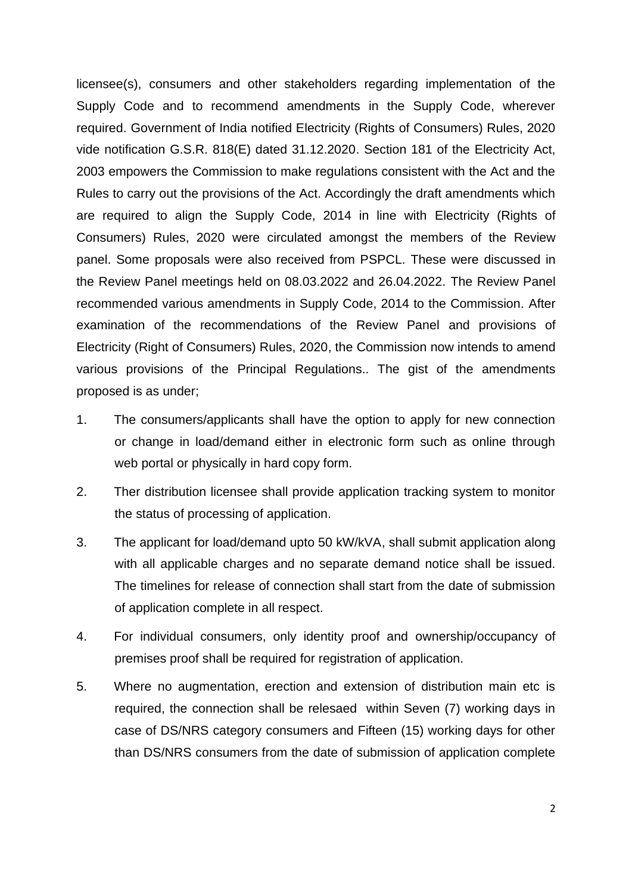licensee(s), consumers and other stakeholders regarding implementation of the Supply Code and to recommend amendments in the Supply Code, wherever required. Government of India notified Electricity (Rights of Consumers) Rules, 2020 vide notification G.S.R. 818(E) dated 31.12.2020. Section 181 of the Electricity Act, 2003 empowers the Commission to make regulations consistent with the Act and the Rules to carry out the provisions of the Act. Accordingly the draft amendments which are required to align the Supply Code, 2014 in line with Electricity (Rights of Consumers) Rules, 2020 were circulated amongst the members of the Review panel. Some proposals were also received from PSPCL. These were discussed in the Review Panel meetings held on 08.03.2022 and 26.04.2022. The Review Panel recommended various amendments in Supply Code, 2014 to the Commission. After examination of the recommendations of the Review Panel and provisions of Electricity (Right of Consumers) Rules, 2020, the Commission now intends to amend various provisions of the Principal Regulations.. The gist of the amendments proposed is as under;

- 1. The consumers/applicants shall have the option to apply for new connection or change in load/demand either in electronic form such as online through web portal or physically in hard copy form.
- 2. Ther distribution licensee shall provide application tracking system to monitor the status of processing of application.
- 3. The applicant for load/demand upto 50 kW/kVA, shall submit application along with all applicable charges and no separate demand notice shall be issued. The timelines for release of connection shall start from the date of submission of application complete in all respect.
- 4. For individual consumers, only identity proof and ownership/occupancy of premises proof shall be required for registration of application.
- 5. Where no augmentation, erection and extension of distribution main etc is required, the connection shall be relesaed within Seven (7) working days in case of DS/NRS category consumers and Fifteen (15) working days for other than DS/NRS consumers from the date of submission of application complete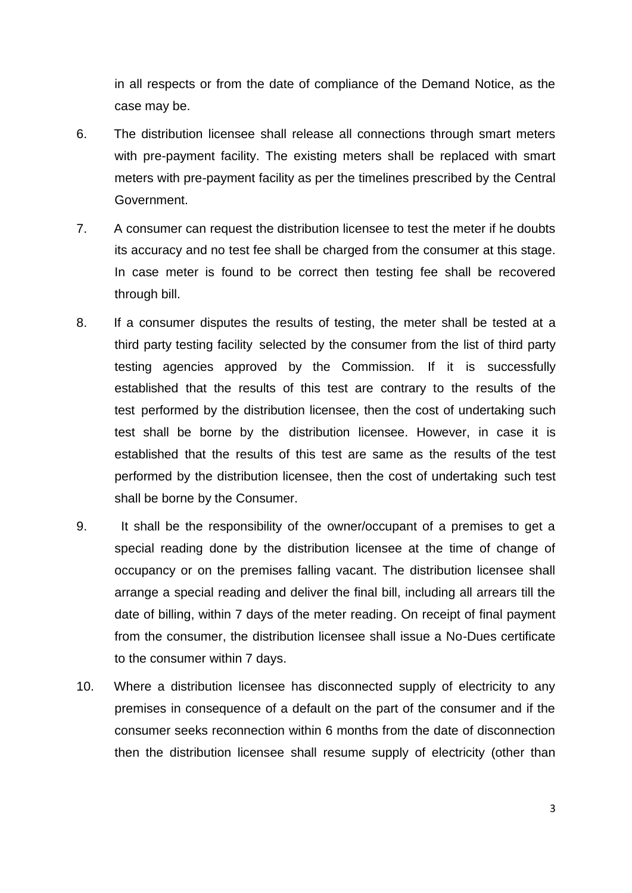in all respects or from the date of compliance of the Demand Notice, as the case may be.

- 6. The distribution licensee shall release all connections through smart meters with pre-payment facility. The existing meters shall be replaced with smart meters with pre-payment facility as per the timelines prescribed by the Central Government.
- 7. A consumer can request the distribution licensee to test the meter if he doubts its accuracy and no test fee shall be charged from the consumer at this stage. In case meter is found to be correct then testing fee shall be recovered through bill.
- 8. If a consumer disputes the results of testing, the meter shall be tested at a third party testing facility selected by the consumer from the list of third party testing agencies approved by the Commission. If it is successfully established that the results of this test are contrary to the results of the test performed by the distribution licensee, then the cost of undertaking such test shall be borne by the distribution licensee. However, in case it is established that the results of this test are same as the results of the test performed by the distribution licensee, then the cost of undertaking such test shall be borne by the Consumer.
- 9. It shall be the responsibility of the owner/occupant of a premises to get a special reading done by the distribution licensee at the time of change of occupancy or on the premises falling vacant. The distribution licensee shall arrange a special reading and deliver the final bill, including all arrears till the date of billing, within 7 days of the meter reading. On receipt of final payment from the consumer, the distribution licensee shall issue a No-Dues certificate to the consumer within 7 days.
- 10. Where a distribution licensee has disconnected supply of electricity to any premises in consequence of a default on the part of the consumer and if the consumer seeks reconnection within 6 months from the date of disconnection then the distribution licensee shall resume supply of electricity (other than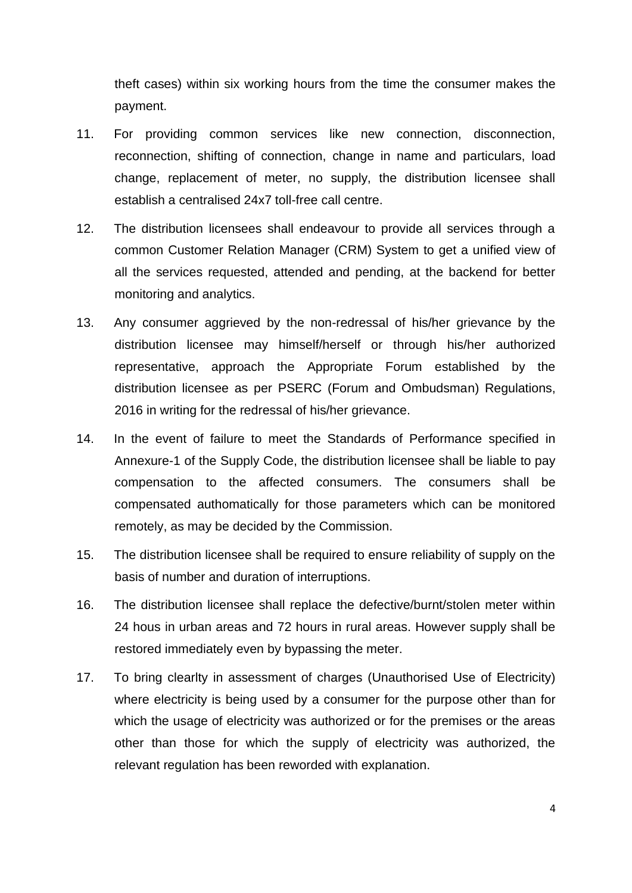theft cases) within six working hours from the time the consumer makes the payment.

- 11. For providing common services like new connection, disconnection, reconnection, shifting of connection, change in name and particulars, load change, replacement of meter, no supply, the distribution licensee shall establish a centralised 24x7 toll-free call centre.
- 12. The distribution licensees shall endeavour to provide all services through a common Customer Relation Manager (CRM) System to get a unified view of all the services requested, attended and pending, at the backend for better monitoring and analytics.
- 13. Any consumer aggrieved by the non-redressal of his/her grievance by the distribution licensee may himself/herself or through his/her authorized representative, approach the Appropriate Forum established by the distribution licensee as per PSERC (Forum and Ombudsman) Regulations, 2016 in writing for the redressal of his/her grievance.
- 14. In the event of failure to meet the Standards of Performance specified in Annexure-1 of the Supply Code, the distribution licensee shall be liable to pay compensation to the affected consumers. The consumers shall be compensated authomatically for those parameters which can be monitored remotely, as may be decided by the Commission.
- 15. The distribution licensee shall be required to ensure reliability of supply on the basis of number and duration of interruptions.
- 16. The distribution licensee shall replace the defective/burnt/stolen meter within 24 hous in urban areas and 72 hours in rural areas. However supply shall be restored immediately even by bypassing the meter.
- 17. To bring clearlty in assessment of charges (Unauthorised Use of Electricity) where electricity is being used by a consumer for the purpose other than for which the usage of electricity was authorized or for the premises or the areas other than those for which the supply of electricity was authorized, the relevant regulation has been reworded with explanation.